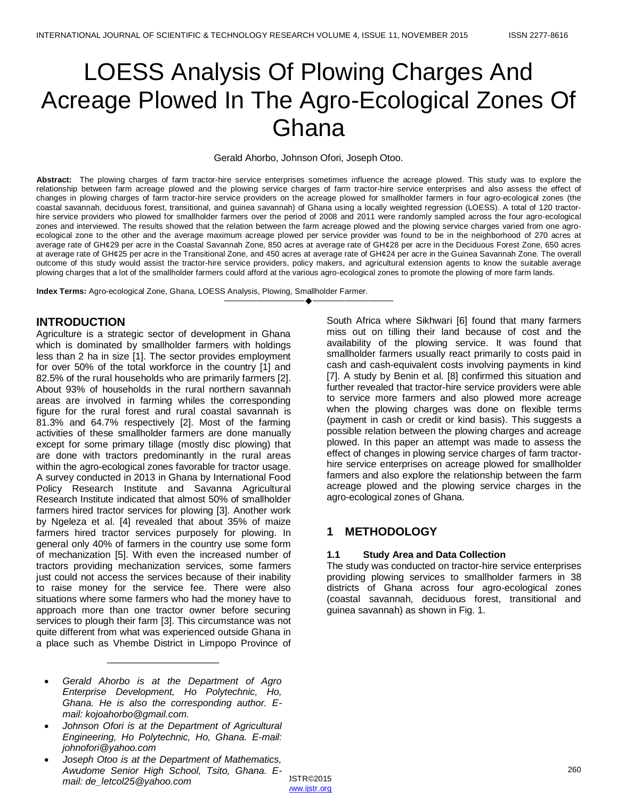# LOESS Analysis Of Plowing Charges And Acreage Plowed In The Agro-Ecological Zones Of Ghana

#### Gerald Ahorbo, Johnson Ofori, Joseph Otoo.

**Abstract:** The plowing charges of farm tractor-hire service enterprises sometimes influence the acreage plowed. This study was to explore the relationship between farm acreage plowed and the plowing service charges of farm tractor-hire service enterprises and also assess the effect of changes in plowing charges of farm tractor-hire service providers on the acreage plowed for smallholder farmers in four agro-ecological zones (the coastal savannah, deciduous forest, transitional, and guinea savannah) of Ghana using a locally weighted regression (LOESS). A total of 120 tractorhire service providers who plowed for smallholder farmers over the period of 2008 and 2011 were randomly sampled across the four agro-ecological zones and interviewed. The results showed that the relation between the farm acreage plowed and the plowing service charges varied from one agroecological zone to the other and the average maximum acreage plowed per service provider was found to be in the neighborhood of 270 acres at average rate of GH¢29 per acre in the Coastal Savannah Zone, 850 acres at average rate of GH¢28 per acre in the Deciduous Forest Zone, 650 acres at average rate of GH¢25 per acre in the Transitional Zone, and 450 acres at average rate of GH¢24 per acre in the Guinea Savannah Zone. The overall outcome of this study would assist the tractor-hire service providers, policy makers, and agricultural extension agents to know the suitable average plowing charges that a lot of the smallholder farmers could afford at the various agro-ecological zones to promote the plowing of more farm lands.

————————————————————

**Index Terms:** Agro-ecological Zone, Ghana, LOESS Analysis, Plowing, Smallholder Farmer.

# **INTRODUCTION**

Agriculture is a strategic sector of development in Ghana which is dominated by smallholder farmers with holdings less than 2 ha in size [1]. The sector provides employment for over 50% of the total workforce in the country [1] and 82.5% of the rural households who are primarily farmers [2]. About 93% of households in the rural northern savannah areas are involved in farming whiles the corresponding figure for the rural forest and rural coastal savannah is 81.3% and 64.7% respectively [2]. Most of the farming activities of these smallholder farmers are done manually except for some primary tillage (mostly disc plowing) that are done with tractors predominantly in the rural areas within the agro-ecological zones favorable for tractor usage. A survey conducted in 2013 in Ghana by International Food Policy Research Institute and Savanna Agricultural Research Institute indicated that almost 50% of smallholder farmers hired tractor services for plowing [3]. Another work by Ngeleza et al. [4] revealed that about 35% of maize farmers hired tractor services purposely for plowing. In general only 40% of farmers in the country use some form of mechanization [5]. With even the increased number of tractors providing mechanization services, some farmers just could not access the services because of their inability to raise money for the service fee. There were also situations where some farmers who had the money have to approach more than one tractor owner before securing services to plough their farm [3]. This circumstance was not quite different from what was experienced outside Ghana in a place such as Vhembe District in Limpopo Province of

 *Gerald Ahorbo is at the Department of Agro Enterprise Development, Ho Polytechnic, Ho, Ghana. He is also the corresponding author. Email: kojoahorbo@gmail.com.* 

\_\_\_\_\_\_\_\_\_\_\_\_\_\_\_\_\_\_\_\_\_

- *Johnson Ofori is at the Department of Agricultural Engineering, Ho Polytechnic, Ho, Ghana. E-mail: johnofori@yahoo.com*
- *Joseph Otoo is at the Department of Mathematics, Awudome Senior High School, Tsito, Ghana. Email: de\_letcol25@yahoo.com*

South Africa where Sikhwari [6] found that many farmers miss out on tilling their land because of cost and the availability of the plowing service. It was found that smallholder farmers usually react primarily to costs paid in cash and cash-equivalent costs involving payments in kind [7]. A study by Benin et al. [8] confirmed this situation and further revealed that tractor-hire service providers were able to service more farmers and also plowed more acreage when the plowing charges was done on flexible terms (payment in cash or credit or kind basis). This suggests a possible relation between the plowing charges and acreage plowed. In this paper an attempt was made to assess the effect of changes in plowing service charges of farm tractorhire service enterprises on acreage plowed for smallholder farmers and also explore the relationship between the farm acreage plowed and the plowing service charges in the agro-ecological zones of Ghana.

# **1 METHODOLOGY**

### **1.1 Study Area and Data Collection**

The study was conducted on tractor-hire service enterprises providing plowing services to smallholder farmers in 38 districts of Ghana across four agro-ecological zones (coastal savannah, deciduous forest, transitional and guinea savannah) as shown in Fig. 1.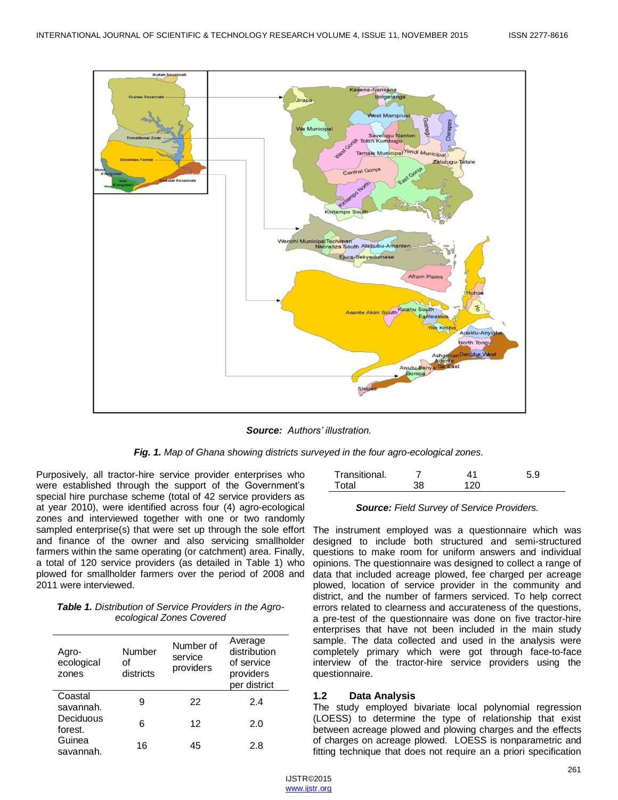

*Source: Authors' illustration.*

*Fig. 1. Map of Ghana showing districts surveyed in the four agro-ecological zones.*

Purposively, all tractor-hire service provider enterprises who were established through the support of the Government's special hire purchase scheme (total of 42 service providers as at year 2010), were identified across four (4) agro-ecological zones and interviewed together with one or two randomly sampled enterprise(s) that were set up through the sole effort and finance of the owner and also servicing smallholder farmers within the same operating (or catchment) area. Finally, a total of 120 service providers (as detailed in Table 1) who plowed for smallholder farmers over the period of 2008 and 2011 were interviewed.

| <b>Table 1.</b> Distribution of Service Providers in the Agro- |  |  |
|----------------------------------------------------------------|--|--|
| ecological Zones Covered                                       |  |  |

| Agro-<br>ecological<br>zones | Number<br>Ωf<br>districts | Number of<br>service<br>providers | Average<br>distribution<br>of service<br>providers<br>per district |
|------------------------------|---------------------------|-----------------------------------|--------------------------------------------------------------------|
| Coastal<br>savannah.         | 9                         | 22                                | 2.4                                                                |
| Deciduous<br>forest.         | 6                         | 12                                | 2.0                                                                |
| Guinea<br>savannah.          | 16                        | 45                                | 2.8                                                                |

| Transitional. |    |     | 5.9 |
|---------------|----|-----|-----|
| Total         | 20 | 120 |     |

### *Source: Field Survey of Service Providers.*

The instrument employed was a questionnaire which was designed to include both structured and semi-structured questions to make room for uniform answers and individual opinions. The questionnaire was designed to collect a range of data that included acreage plowed, fee charged per acreage plowed, location of service provider in the community and district, and the number of farmers serviced. To help correct errors related to clearness and accurateness of the questions, a pre-test of the questionnaire was done on five tractor-hire enterprises that have not been included in the main study sample. The data collected and used in the analysis were completely primary which were got through face-to-face interview of the tractor-hire service providers using the questionnaire.

#### **1.2 Data Analysis**

The study employed bivariate local polynomial regression (LOESS) to determine the type of relationship that exist between acreage plowed and plowing charges and the effects of charges on acreage plowed. LOESS is nonparametric and fitting technique that does not require an a priori specification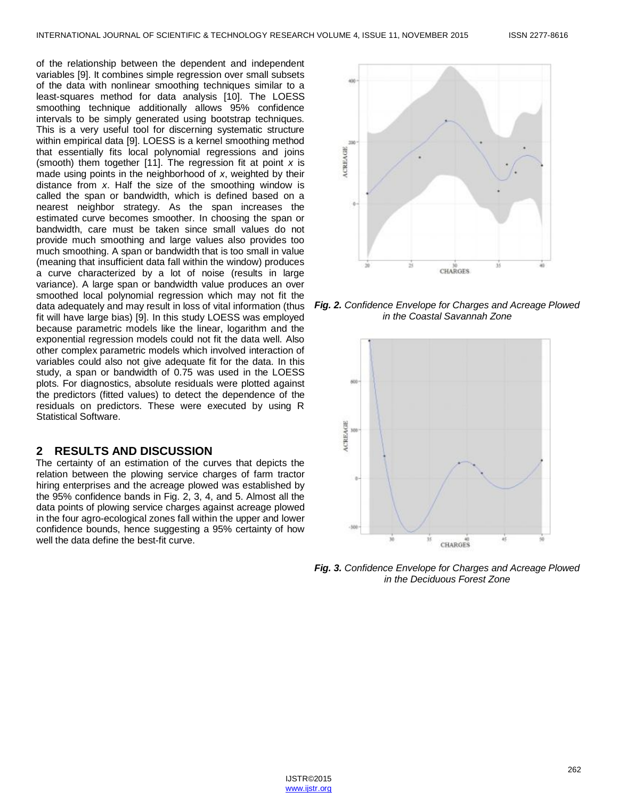of the relationship between the dependent and independent variables [9]. It combines simple regression over small subsets of the data with nonlinear smoothing techniques similar to a least-squares method for data analysis [10]. The LOESS smoothing technique additionally allows 95% confidence intervals to be simply generated using bootstrap techniques. This is a very useful tool for discerning systematic structure within empirical data [9]. LOESS is a kernel smoothing method that essentially fits local polynomial regressions and joins (smooth) them together [11]. The regression fit at point *x* is made using points in the neighborhood of *x*, weighted by their distance from *x*. Half the size of the smoothing window is called the span or bandwidth, which is defined based on a nearest neighbor strategy. As the span increases the estimated curve becomes smoother. In choosing the span or bandwidth, care must be taken since small values do not provide much smoothing and large values also provides too much smoothing. A span or bandwidth that is too small in value (meaning that insufficient data fall within the window) produces a curve characterized by a lot of noise (results in large variance). A large span or bandwidth value produces an over smoothed local polynomial regression which may not fit the data adequately and may result in loss of vital information (thus fit will have large bias) [9]. In this study LOESS was employed because parametric models like the linear, logarithm and the exponential regression models could not fit the data well. Also other complex parametric models which involved interaction of variables could also not give adequate fit for the data. In this study, a span or bandwidth of 0.75 was used in the LOESS plots. For diagnostics, absolute residuals were plotted against the predictors (fitted values) to detect the dependence of the residuals on predictors. These were executed by using R Statistical Software.

# **2 RESULTS AND DISCUSSION**

The certainty of an estimation of the curves that depicts the relation between the plowing service charges of farm tractor hiring enterprises and the acreage plowed was established by the 95% confidence bands in Fig. 2, 3, 4, and 5. Almost all the data points of plowing service charges against acreage plowed in the four agro-ecological zones fall within the upper and lower confidence bounds, hence suggesting a 95% certainty of how well the data define the best-fit curve.



*Fig. 2. Confidence Envelope for Charges and Acreage Plowed in the Coastal Savannah Zone*



*Fig. 3. Confidence Envelope for Charges and Acreage Plowed in the Deciduous Forest Zone*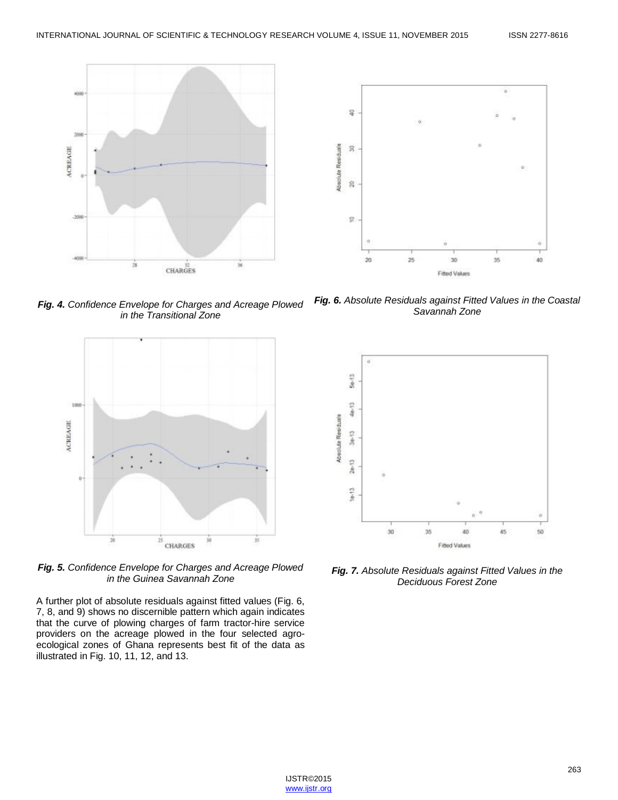

*Fig. 4. Confidence Envelope for Charges and Acreage Plowed in the Transitional Zone*



*Fig. 5. Confidence Envelope for Charges and Acreage Plowed in the Guinea Savannah Zone*

A further plot of absolute residuals against fitted values (Fig. 6, 7, 8, and 9) shows no discernible pattern which again indicates that the curve of plowing charges of farm tractor-hire service providers on the acreage plowed in the four selected agroecological zones of Ghana represents best fit of the data as illustrated in Fig. 10, 11, 12, and 13.

*Fig. 6. Absolute Residuals against Fitted Values in the Coastal Savannah Zone*



*Fig. 7. Absolute Residuals against Fitted Values in the Deciduous Forest Zone*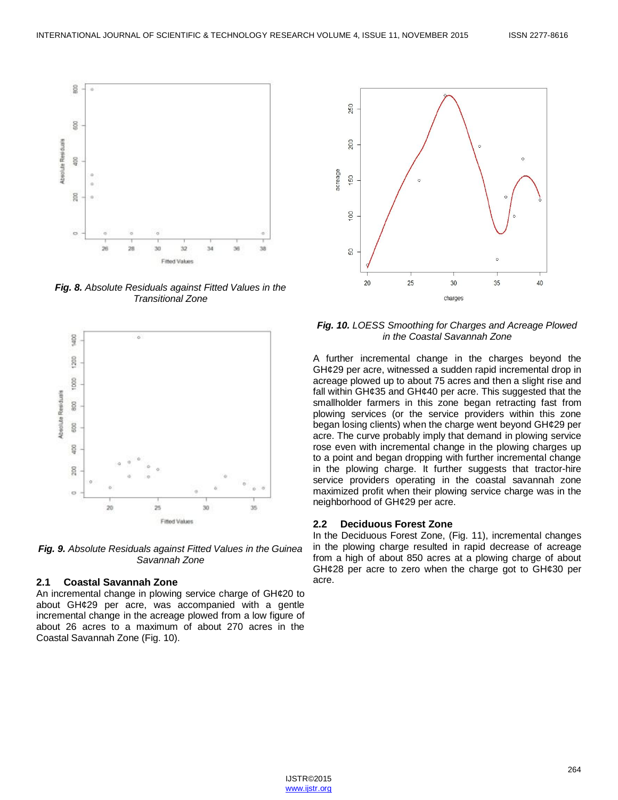

*Fig. 8. Absolute Residuals against Fitted Values in the Transitional Zone*



*Fig. 9. Absolute Residuals against Fitted Values in the Guinea Savannah Zone*

### **2.1 Coastal Savannah Zone**

An incremental change in plowing service charge of GH¢20 to about GH¢29 per acre, was accompanied with a gentle incremental change in the acreage plowed from a low figure of about 26 acres to a maximum of about 270 acres in the Coastal Savannah Zone (Fig. 10).



*Fig. 10. LOESS Smoothing for Charges and Acreage Plowed in the Coastal Savannah Zone*

A further incremental change in the charges beyond the GH¢29 per acre, witnessed a sudden rapid incremental drop in acreage plowed up to about 75 acres and then a slight rise and fall within GH¢35 and GH¢40 per acre. This suggested that the smallholder farmers in this zone began retracting fast from plowing services (or the service providers within this zone began losing clients) when the charge went beyond GH¢29 per acre. The curve probably imply that demand in plowing service rose even with incremental change in the plowing charges up to a point and began dropping with further incremental change in the plowing charge. It further suggests that tractor-hire service providers operating in the coastal savannah zone maximized profit when their plowing service charge was in the neighborhood of GH¢29 per acre.

#### **2.2 Deciduous Forest Zone**

In the Deciduous Forest Zone, (Fig. 11), incremental changes in the plowing charge resulted in rapid decrease of acreage from a high of about 850 acres at a plowing charge of about GH¢28 per acre to zero when the charge got to GH¢30 per acre.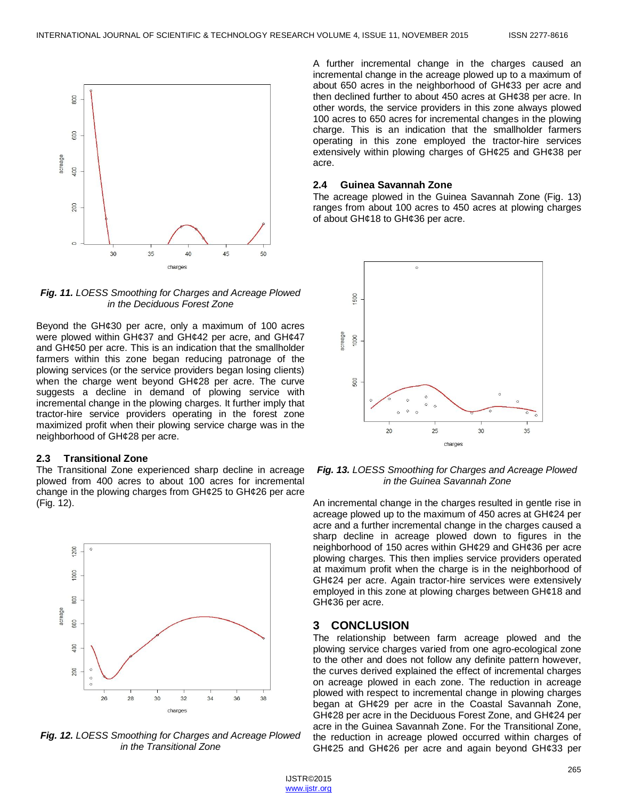

*Fig. 11. LOESS Smoothing for Charges and Acreage Plowed in the Deciduous Forest Zone*

Beyond the GH¢30 per acre, only a maximum of 100 acres were plowed within GH¢37 and GH¢42 per acre, and GH¢47 and GH¢50 per acre. This is an indication that the smallholder farmers within this zone began reducing patronage of the plowing services (or the service providers began losing clients) when the charge went beyond GH¢28 per acre. The curve suggests a decline in demand of plowing service with incremental change in the plowing charges. It further imply that tractor-hire service providers operating in the forest zone maximized profit when their plowing service charge was in the neighborhood of GH¢28 per acre.

#### **2.3 Transitional Zone**

The Transitional Zone experienced sharp decline in acreage plowed from 400 acres to about 100 acres for incremental change in the plowing charges from GH¢25 to GH¢26 per acre (Fig. 12).



*Fig. 12. LOESS Smoothing for Charges and Acreage Plowed in the Transitional Zone*

A further incremental change in the charges caused an incremental change in the acreage plowed up to a maximum of about 650 acres in the neighborhood of GH¢33 per acre and then declined further to about 450 acres at GH¢38 per acre. In other words, the service providers in this zone always plowed 100 acres to 650 acres for incremental changes in the plowing charge. This is an indication that the smallholder farmers operating in this zone employed the tractor-hire services extensively within plowing charges of GH¢25 and GH¢38 per acre.

#### **2.4 Guinea Savannah Zone**

The acreage plowed in the Guinea Savannah Zone (Fig. 13) ranges from about 100 acres to 450 acres at plowing charges of about GH¢18 to GH¢36 per acre.



*Fig. 13. LOESS Smoothing for Charges and Acreage Plowed in the Guinea Savannah Zone*

An incremental change in the charges resulted in gentle rise in acreage plowed up to the maximum of 450 acres at GH¢24 per acre and a further incremental change in the charges caused a sharp decline in acreage plowed down to figures in the neighborhood of 150 acres within GH¢29 and GH¢36 per acre plowing charges. This then implies service providers operated at maximum profit when the charge is in the neighborhood of GH¢24 per acre. Again tractor-hire services were extensively employed in this zone at plowing charges between GH¢18 and GH¢36 per acre.

#### **3 CONCLUSION**

The relationship between farm acreage plowed and the plowing service charges varied from one agro-ecological zone to the other and does not follow any definite pattern however, the curves derived explained the effect of incremental charges on acreage plowed in each zone. The reduction in acreage plowed with respect to incremental change in plowing charges began at GH¢29 per acre in the Coastal Savannah Zone, GH¢28 per acre in the Deciduous Forest Zone, and GH¢24 per acre in the Guinea Savannah Zone. For the Transitional Zone, the reduction in acreage plowed occurred within charges of GH¢25 and GH¢26 per acre and again beyond GH¢33 per